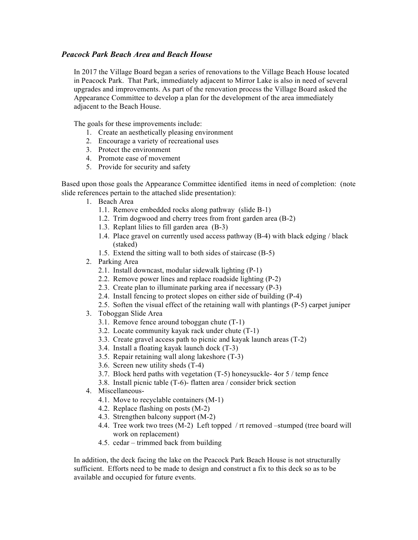## *Peacock Park Beach Area and Beach House*

In 2017 the Village Board began a series of renovations to the Village Beach House located in Peacock Park. That Park, immediately adjacent to Mirror Lake is also in need of several upgrades and improvements. As part of the renovation process the Village Board asked the Appearance Committee to develop a plan for the development of the area immediately adjacent to the Beach House.

The goals for these improvements include:

- 1. Create an aesthetically pleasing environment
- 2. Encourage a variety of recreational uses
- 3. Protect the environment
- 4. Promote ease of movement
- 5. Provide for security and safety

Based upon those goals the Appearance Committee identified items in need of completion: (note slide references pertain to the attached slide presentation):

- 1. Beach Area
	- 1.1. Remove embedded rocks along pathway (slide B-1)
	- 1.2. Trim dogwood and cherry trees from front garden area (B-2)
	- 1.3. Replant lilies to fill garden area (B-3)
	- 1.4. Place gravel on currently used access pathway (B-4) with black edging / black (staked)
	- 1.5. Extend the sitting wall to both sides of staircase (B-5)
- 2. Parking Area
	- 2.1. Install downcast, modular sidewalk lighting (P-1)
	- 2.2. Remove power lines and replace roadside lighting (P-2)
	- 2.3. Create plan to illuminate parking area if necessary (P-3)
	- 2.4. Install fencing to protect slopes on either side of building (P-4)
	- 2.5. Soften the visual effect of the retaining wall with plantings (P-5) carpet juniper
- 3. Toboggan Slide Area
	- 3.1. Remove fence around toboggan chute (T-1)
	- 3.2. Locate community kayak rack under chute (T-1)
	- 3.3. Create gravel access path to picnic and kayak launch areas (T-2)
	- 3.4. Install a floating kayak launch dock (T-3)
	- 3.5. Repair retaining wall along lakeshore (T-3)
	- 3.6. Screen new utility sheds (T-4)
	- 3.7. Block herd paths with vegetation (T-5) honeysuckle- 4or 5 / temp fence
	- 3.8. Install picnic table (T-6)- flatten area / consider brick section
- 4. Miscellaneous-
	- 4.1. Move to recyclable containers (M-1)
	- 4.2. Replace flashing on posts (M-2)
	- 4.3. Strengthen balcony support (M-2)
	- 4.4. Tree work two trees (M-2) Left topped / rt removed –stumped (tree board will work on replacement)
	- 4.5. cedar trimmed back from building

In addition, the deck facing the lake on the Peacock Park Beach House is not structurally sufficient. Efforts need to be made to design and construct a fix to this deck so as to be available and occupied for future events.